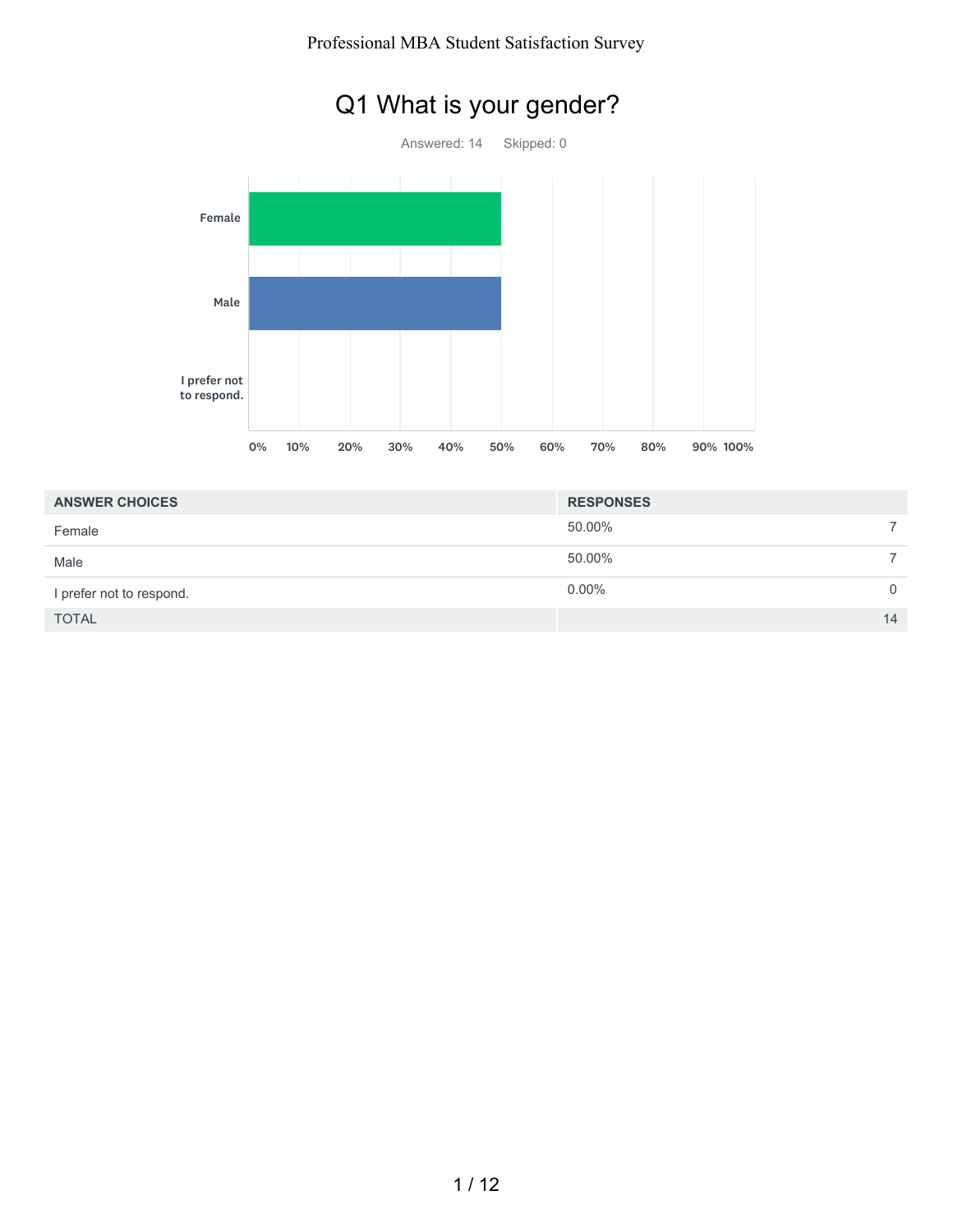#### Professional MBA Student Satisfaction Survey



# Q1 What is your gender?

| <b>ANSWER CHOICES</b>    | <b>RESPONSES</b> |    |
|--------------------------|------------------|----|
| Female                   | 50.00%           |    |
| Male                     | 50.00%           |    |
| I prefer not to respond. | $0.00\%$         | 0  |
| <b>TOTAL</b>             |                  | 14 |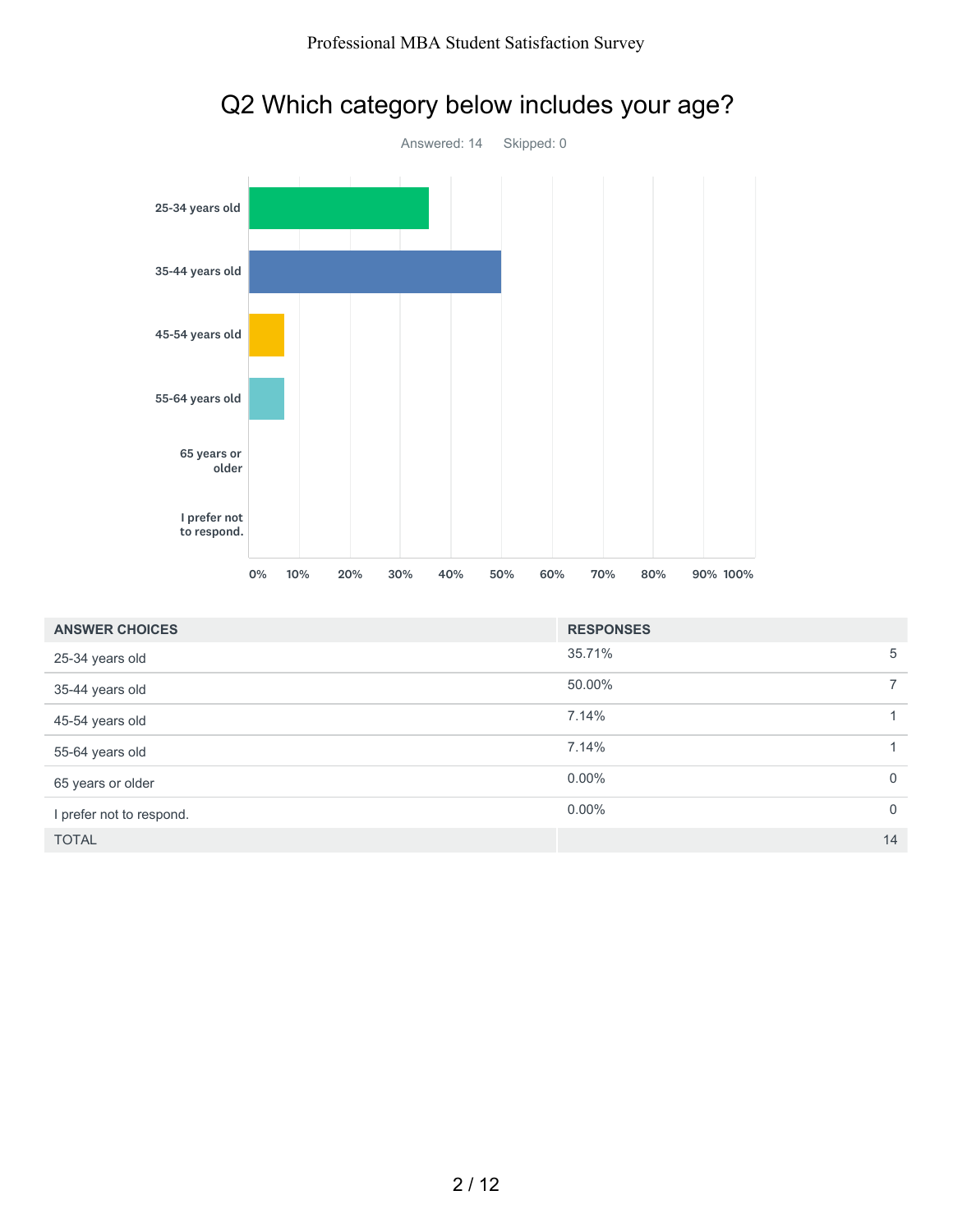

#### Professional MBA Student Satisfaction Survey

| <b>ANSWER CHOICES</b>    | <b>RESPONSES</b> |              |
|--------------------------|------------------|--------------|
| 25-34 years old          | 35.71%           | 5            |
| 35-44 years old          | 50.00%           |              |
| 45-54 years old          | 7.14%            |              |
| 55-64 years old          | 7.14%            |              |
| 65 years or older        | $0.00\%$         | $\mathbf{0}$ |
| I prefer not to respond. | $0.00\%$         | $\Omega$     |
| <b>TOTAL</b>             | 14               |              |

## Q2 Which category below includes your age?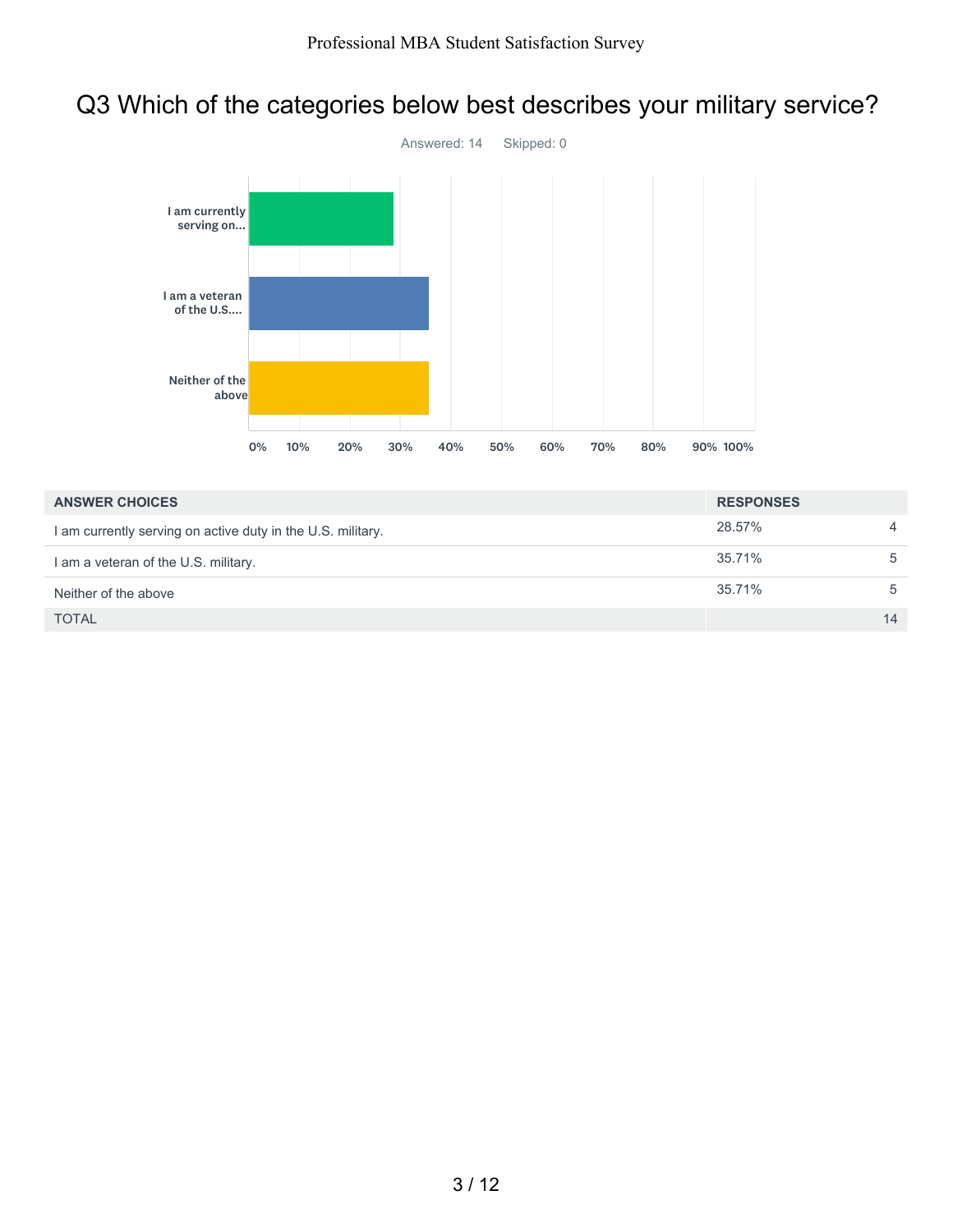## Q3 Which of the categories below best describes your military service?



| <b>ANSWER CHOICES</b>                                       | <b>RESPONSES</b> |                |
|-------------------------------------------------------------|------------------|----------------|
| I am currently serving on active duty in the U.S. military. | 28.57%           | $\overline{4}$ |
| I am a veteran of the U.S. military.                        | 35.71%           | 5              |
| Neither of the above                                        | 35.71%           | 5              |
| <b>TOTAL</b>                                                |                  | 14             |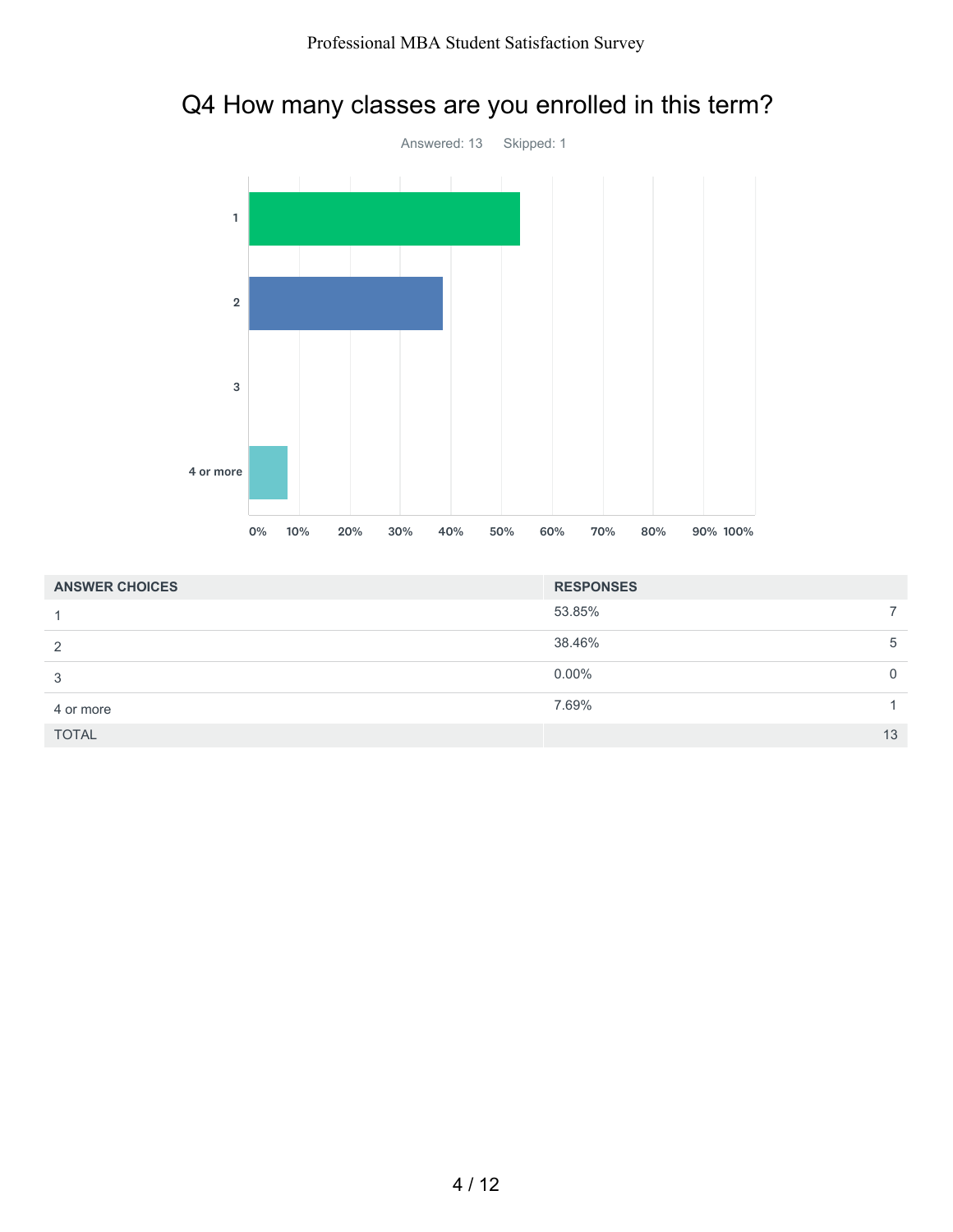# Q4 How many classes are you enrolled in this term?



| <b>ANSWER CHOICES</b> | <b>RESPONSES</b> |    |
|-----------------------|------------------|----|
|                       | 53.85%           |    |
| 2                     | 38.46%           | 5  |
| 3                     | $0.00\%$         | 0  |
| 4 or more             | 7.69%            |    |
| <b>TOTAL</b>          |                  | 13 |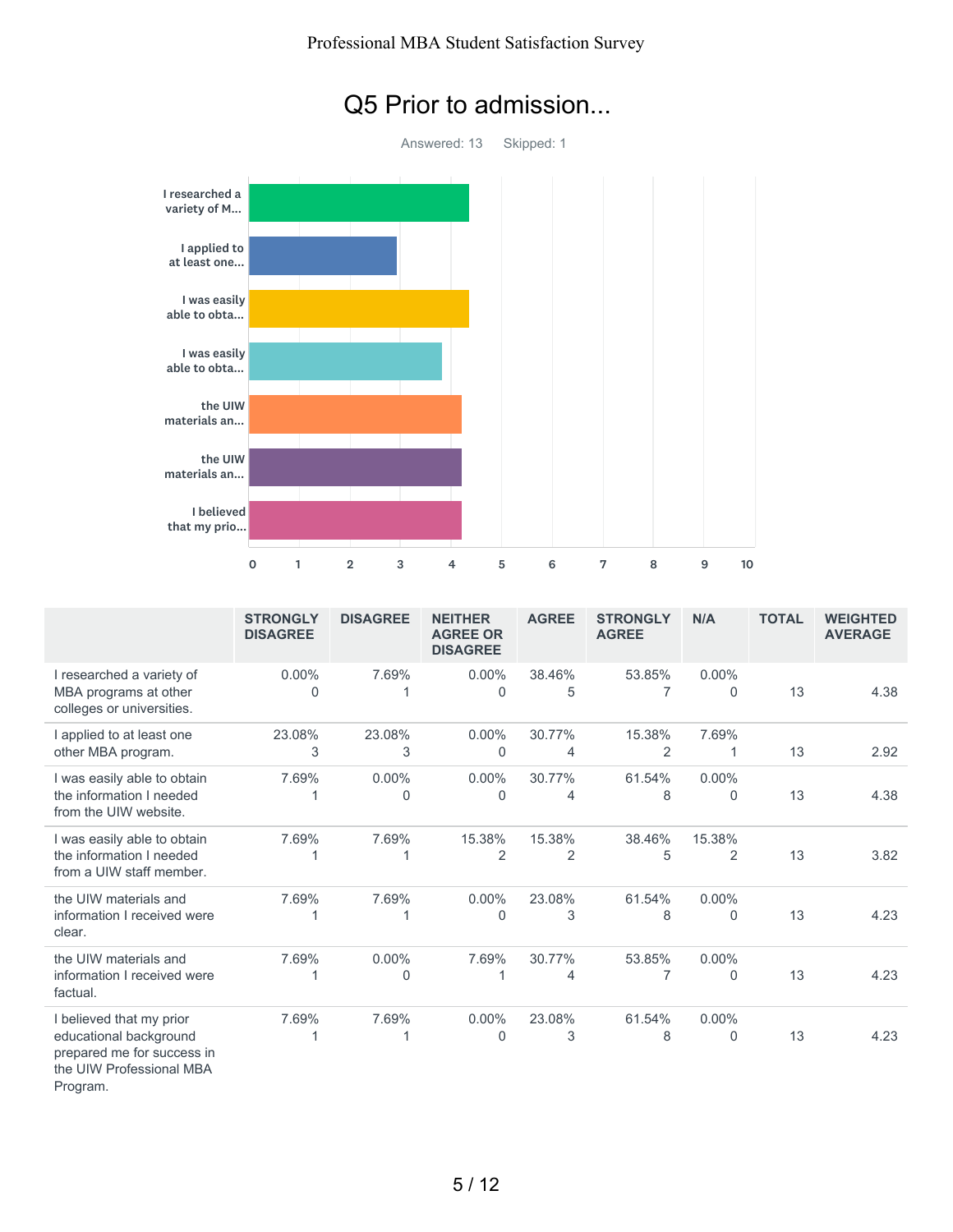

#### Q5 Prior to admission...

|                                                                                                                          | <b>STRONGLY</b><br><b>DISAGREE</b> | <b>DISAGREE</b>      | <b>NEITHER</b><br><b>AGREE OR</b><br><b>DISAGREE</b> | <b>AGREE</b> | <b>STRONGLY</b><br><b>AGREE</b> | N/A                  | <b>TOTAL</b> | <b>WEIGHTED</b><br><b>AVERAGE</b> |
|--------------------------------------------------------------------------------------------------------------------------|------------------------------------|----------------------|------------------------------------------------------|--------------|---------------------------------|----------------------|--------------|-----------------------------------|
| I researched a variety of<br>MBA programs at other<br>colleges or universities.                                          | $0.00\%$<br>0                      | 7.69%                | $0.00\%$<br>$\Omega$                                 | 38.46%<br>5  | 53.85%                          | $0.00\%$<br>$\Omega$ | 13           | 4.38                              |
| I applied to at least one<br>other MBA program.                                                                          | 23.08%<br>3                        | 23.08%<br>3          | $0.00\%$<br>0                                        | 30.77%<br>4  | 15.38%<br>2                     | 7.69%                | 13           | 2.92                              |
| I was easily able to obtain<br>the information I needed<br>from the UIW website.                                         | 7.69%                              | $0.00\%$<br>0        | $0.00\%$<br>0                                        | 30.77%<br>4  | 61.54%<br>8                     | $0.00\%$<br>$\Omega$ | 13           | 4.38                              |
| I was easily able to obtain<br>the information I needed<br>from a UIW staff member.                                      | 7.69%                              | 7.69%                | 15.38%<br>2                                          | 15.38%<br>2  | 38.46%<br>5                     | 15.38%<br>2          | 13           | 3.82                              |
| the UIW materials and<br>information I received were<br>clear.                                                           | 7.69%                              | 7.69%                | $0.00\%$<br>$\Omega$                                 | 23.08%<br>3  | 61.54%<br>8                     | $0.00\%$<br>$\Omega$ | 13           | 4.23                              |
| the UIW materials and<br>information I received were<br>factual.                                                         | 7.69%                              | $0.00\%$<br>$\Omega$ | 7.69%<br>1                                           | 30.77%<br>4  | 53.85%<br>7                     | $0.00\%$<br>$\Omega$ | 13           | 4.23                              |
| I believed that my prior<br>educational background<br>prepared me for success in<br>the UIW Professional MBA<br>Program. | 7.69%                              | 7.69%                | $0.00\%$<br>0                                        | 23.08%<br>3  | 61.54%<br>8                     | $0.00\%$<br>$\Omega$ | 13           | 4.23                              |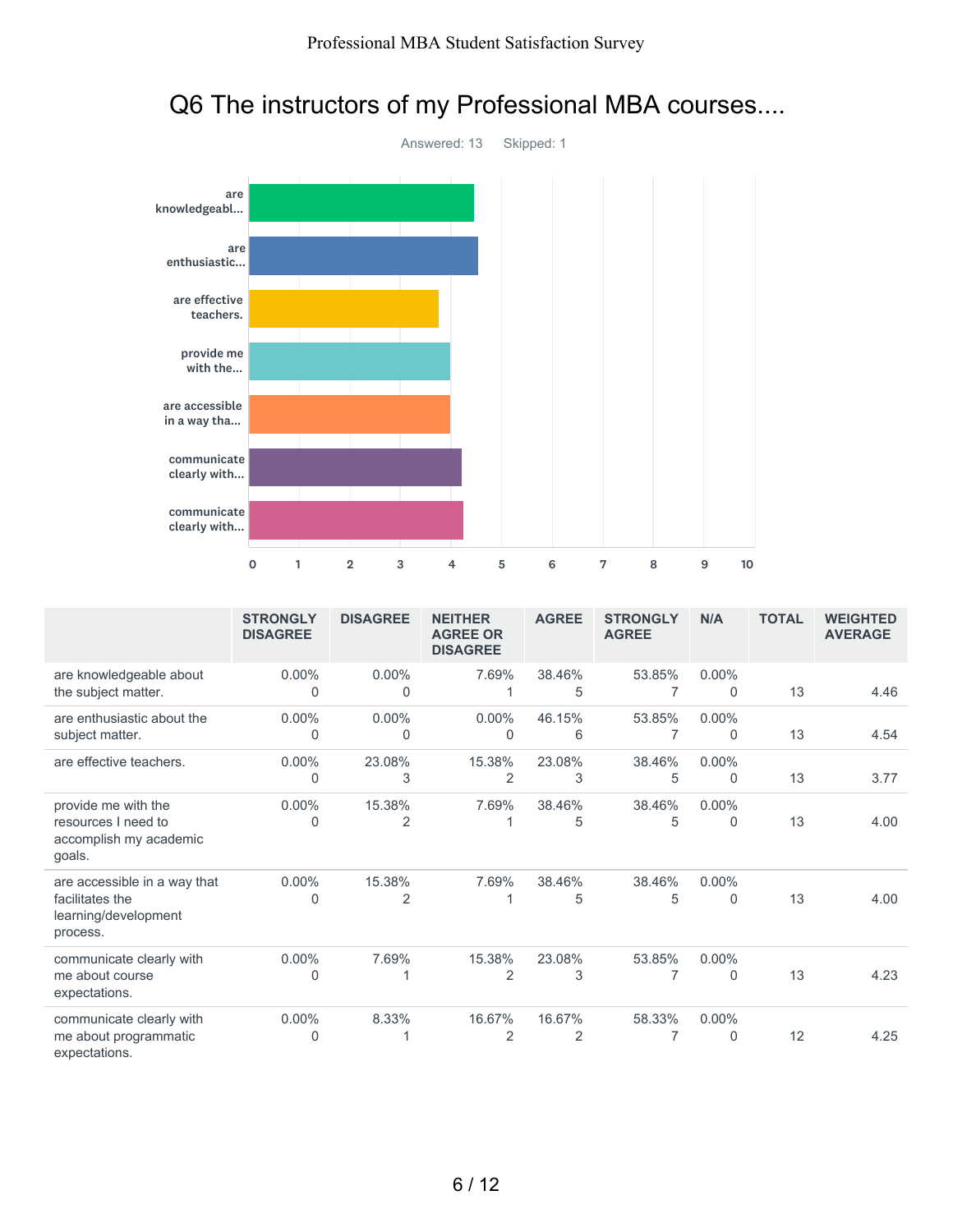

#### Q6 The instructors of my Professional MBA courses....

|                                                                                     | <b>STRONGLY</b><br><b>DISAGREE</b> | <b>DISAGREE</b> | <b>NEITHER</b><br><b>AGREE OR</b><br><b>DISAGREE</b> | <b>AGREE</b> | <b>STRONGLY</b><br><b>AGREE</b> | N/A                  | <b>TOTAL</b> | <b>WEIGHTED</b><br><b>AVERAGE</b> |
|-------------------------------------------------------------------------------------|------------------------------------|-----------------|------------------------------------------------------|--------------|---------------------------------|----------------------|--------------|-----------------------------------|
| are knowledgeable about<br>the subject matter.                                      | $0.00\%$<br>0                      | $0.00\%$<br>0   | 7.69%                                                | 38.46%<br>5  | 53.85%                          | $0.00\%$<br>0        | 13           | 4.46                              |
| are enthusiastic about the<br>subject matter.                                       | $0.00\%$<br>0                      | $0.00\%$<br>0   | $0.00\%$<br>$\Omega$                                 | 46.15%<br>6  | 53.85%                          | $0.00\%$<br>$\Omega$ | 13           | 4.54                              |
| are effective teachers.                                                             | $0.00\%$<br>0                      | 23.08%<br>3     | 15.38%<br>2                                          | 23.08%<br>3  | 38.46%<br>5                     | $0.00\%$<br>$\Omega$ | 13           | 3.77                              |
| provide me with the<br>resources I need to<br>accomplish my academic<br>goals.      | $0.00\%$<br>0                      | 15.38%<br>2     | 7.69%                                                | 38.46%<br>5  | 38.46%<br>5                     | $0.00\%$<br>$\Omega$ | 13           | 4.00                              |
| are accessible in a way that<br>facilitates the<br>learning/development<br>process. | $0.00\%$<br>0                      | 15.38%<br>2     | 7.69%                                                | 38.46%<br>5  | 38.46%<br>5                     | $0.00\%$<br>$\Omega$ | 13           | 4.00                              |
| communicate clearly with<br>me about course<br>expectations.                        | $0.00\%$<br>0                      | 7.69%           | 15.38%<br>$\overline{2}$                             | 23.08%<br>3  | 53.85%<br>7                     | $0.00\%$<br>$\Omega$ | 13           | 4.23                              |
| communicate clearly with<br>me about programmatic<br>expectations.                  | $0.00\%$<br>0                      | 8.33%           | 16.67%<br>2                                          | 16.67%<br>2  | 58.33%                          | $0.00\%$<br>$\Omega$ | 12           | 4.25                              |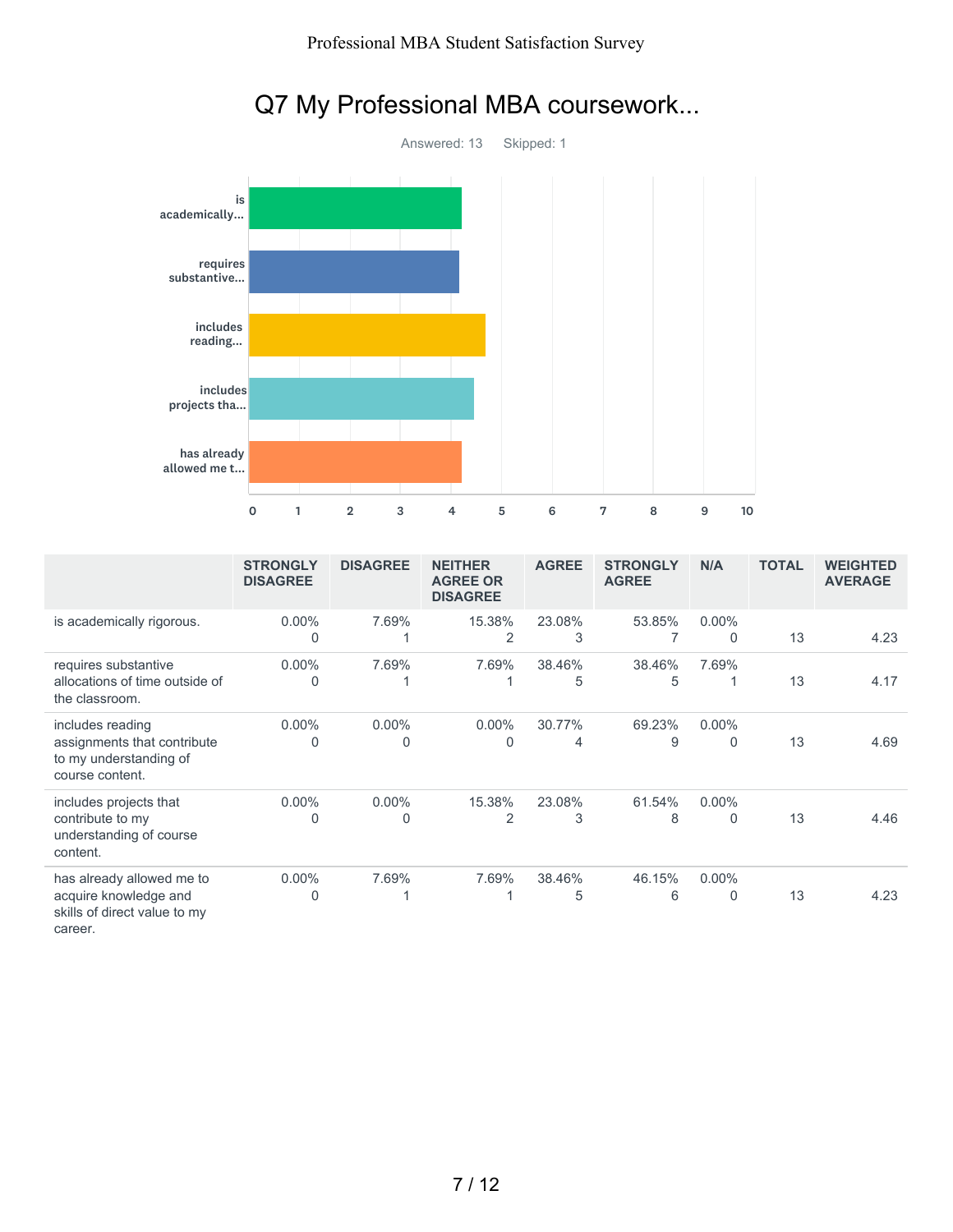

# Q7 My Professional MBA coursework...

|                                                                                               | <b>STRONGLY</b><br><b>DISAGREE</b> | <b>DISAGREE</b> | <b>NEITHER</b><br><b>AGREE OR</b><br><b>DISAGREE</b> | <b>AGREE</b> | <b>STRONGLY</b><br><b>AGREE</b> | N/A                      | <b>TOTAL</b> | <b>WEIGHTED</b><br><b>AVERAGE</b> |
|-----------------------------------------------------------------------------------------------|------------------------------------|-----------------|------------------------------------------------------|--------------|---------------------------------|--------------------------|--------------|-----------------------------------|
| is academically rigorous.                                                                     | $0.00\%$<br>0                      | 7.69%           | 15.38%<br>2                                          | 23.08%<br>3  | 53.85%                          | $0.00\%$<br>$\Omega$     | 13           | 4.23                              |
| requires substantive<br>allocations of time outside of<br>the classroom.                      | $0.00\%$<br>0                      | 7.69%           | 7.69%                                                | 38.46%<br>5  | 38.46%<br>5                     | 7.69%                    | 13           | 4.17                              |
| includes reading<br>assignments that contribute<br>to my understanding of<br>course content.  | $0.00\%$<br>0                      | $0.00\%$<br>0   | $0.00\%$<br>$\Omega$                                 | 30.77%<br>4  | 69.23%<br>9                     | $0.00\%$<br>$\Omega$     | 13           | 4.69                              |
| includes projects that<br>contribute to my<br>understanding of course<br>content.             | $0.00\%$<br>0                      | $0.00\%$<br>0   | 15.38%<br>2                                          | 23.08%<br>3  | 61.54%<br>8                     | $0.00\%$<br>$\mathbf{0}$ | 13           | 4.46                              |
| has already allowed me to<br>acquire knowledge and<br>skills of direct value to my<br>career. | $0.00\%$<br>0                      | 7.69%           | 7.69%                                                | 38.46%<br>5  | 46.15%<br>6                     | $0.00\%$<br>$\Omega$     | 13           | 4.23                              |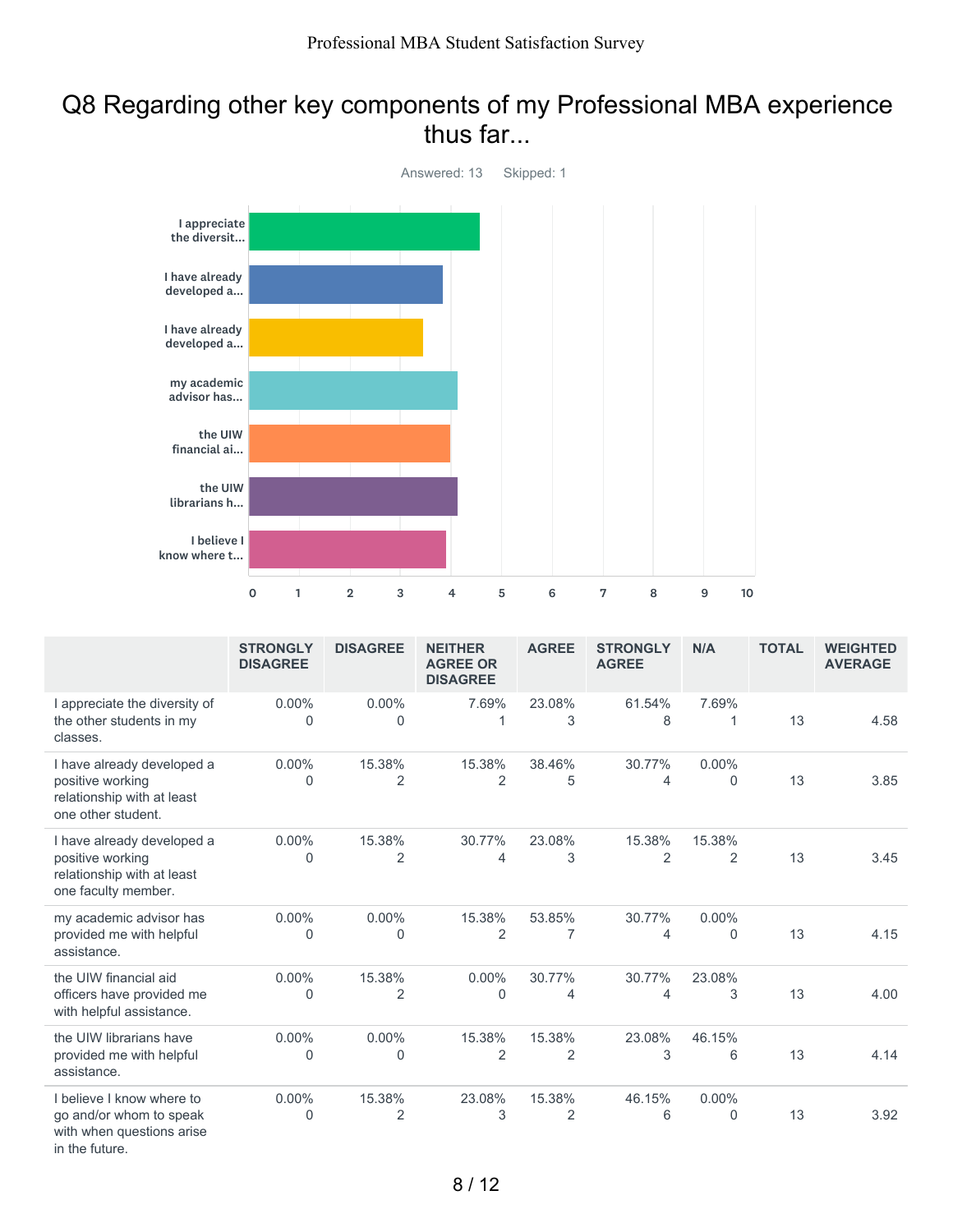#### Q8 Regarding other key components of my Professional MBA experience thus far...



|                                                                                                     | <b>STRONGLY</b><br><b>DISAGREE</b> | <b>DISAGREE</b>      | <b>NEITHER</b><br><b>AGREE OR</b><br><b>DISAGREE</b> | <b>AGREE</b> | <b>STRONGLY</b><br><b>AGREE</b> | N/A                  | <b>TOTAL</b> | <b>WEIGHTED</b><br><b>AVERAGE</b> |
|-----------------------------------------------------------------------------------------------------|------------------------------------|----------------------|------------------------------------------------------|--------------|---------------------------------|----------------------|--------------|-----------------------------------|
| I appreciate the diversity of<br>the other students in my<br>classes.                               | $0.00\%$<br>0                      | $0.00\%$<br>0        | 7.69%                                                | 23.08%<br>3  | 61.54%<br>8                     | 7.69%<br>1           | 13           | 4.58                              |
| I have already developed a<br>positive working<br>relationship with at least<br>one other student.  | $0.00\%$<br>0                      | 15.38%<br>2          | 15.38%<br>$\overline{2}$                             | 38.46%<br>5  | 30.77%<br>4                     | $0.00\%$<br>$\Omega$ | 13           | 3.85                              |
| I have already developed a<br>positive working<br>relationship with at least<br>one faculty member. | $0.00\%$<br>0                      | 15.38%<br>2          | 30.77%<br>4                                          | 23.08%<br>3  | 15.38%<br>2                     | 15.38%<br>2          | 13           | 3.45                              |
| my academic advisor has<br>provided me with helpful<br>assistance.                                  | $0.00\%$<br>0                      | $0.00\%$<br>$\Omega$ | 15.38%<br>2                                          | 53.85%<br>7  | 30.77%<br>4                     | $0.00\%$<br>$\Omega$ | 13           | 4.15                              |
| the UIW financial aid<br>officers have provided me<br>with helpful assistance.                      | $0.00\%$<br>0                      | 15.38%<br>2          | 0.00%<br>0                                           | 30.77%<br>4  | 30.77%<br>4                     | 23.08%<br>3          | 13           | 4.00                              |
| the UIW librarians have<br>provided me with helpful<br>assistance.                                  | $0.00\%$<br>0                      | $0.00\%$<br>0        | 15.38%<br>$\overline{2}$                             | 15.38%<br>2  | 23.08%<br>3                     | 46.15%<br>6          | 13           | 4.14                              |
| I believe I know where to<br>go and/or whom to speak<br>with when questions arise<br>in the future. | $0.00\%$<br>0                      | 15.38%<br>2          | 23.08%<br>3                                          | 15.38%<br>2  | 46.15%<br>6                     | $0.00\%$<br>$\Omega$ | 13           | 3.92                              |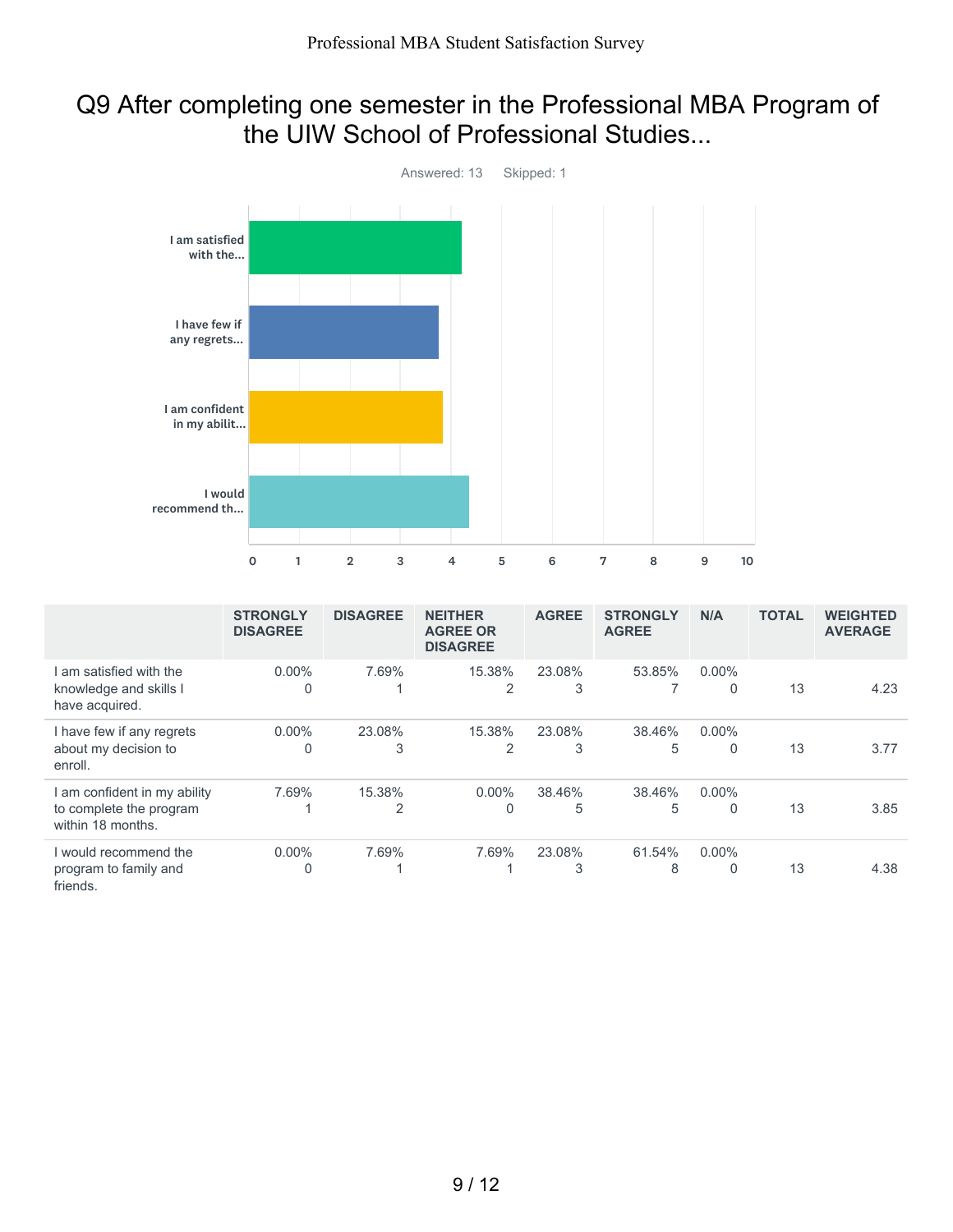#### Q9 After completing one semester in the Professional MBA Program of the UIW School of Professional Studies...



|                                                                            | <b>STRONGLY</b><br><b>DISAGREE</b> | <b>DISAGREE</b> | <b>NEITHER</b><br><b>AGREE OR</b><br><b>DISAGREE</b> | <b>AGREE</b> | <b>STRONGLY</b><br><b>AGREE</b> | N/A                      | <b>TOTAL</b> | <b>WEIGHTED</b><br><b>AVERAGE</b> |
|----------------------------------------------------------------------------|------------------------------------|-----------------|------------------------------------------------------|--------------|---------------------------------|--------------------------|--------------|-----------------------------------|
| am satisfied with the<br>knowledge and skills I<br>have acquired.          | $0.00\%$<br>$\overline{0}$         | 7.69%           | 15.38%<br>2                                          | 23.08%<br>3  | 53.85%                          | $0.00\%$<br>$\mathbf{0}$ | 13           | 4.23                              |
| I have few if any regrets<br>about my decision to<br>enroll.               | $0.00\%$<br>$\mathbf{0}$           | 23.08%<br>3     | 15.38%<br>2                                          | 23.08%<br>3  | 38.46%<br>5                     | $0.00\%$<br>$\Omega$     | 13           | 3.77                              |
| am confident in my ability<br>to complete the program<br>within 18 months. | 7.69%                              | 15.38%<br>2     | $0.00\%$<br>0                                        | 38.46%<br>5  | 38.46%<br>5                     | $0.00\%$<br>$\mathbf{0}$ | 13           | 3.85                              |
| would recommend the<br>program to family and<br>friends.                   | $0.00\%$<br>$\mathbf{0}$           | 7.69%           | 7.69%                                                | 23.08%<br>3  | 61.54%<br>8                     | $0.00\%$<br>$\Omega$     | 13           | 4.38                              |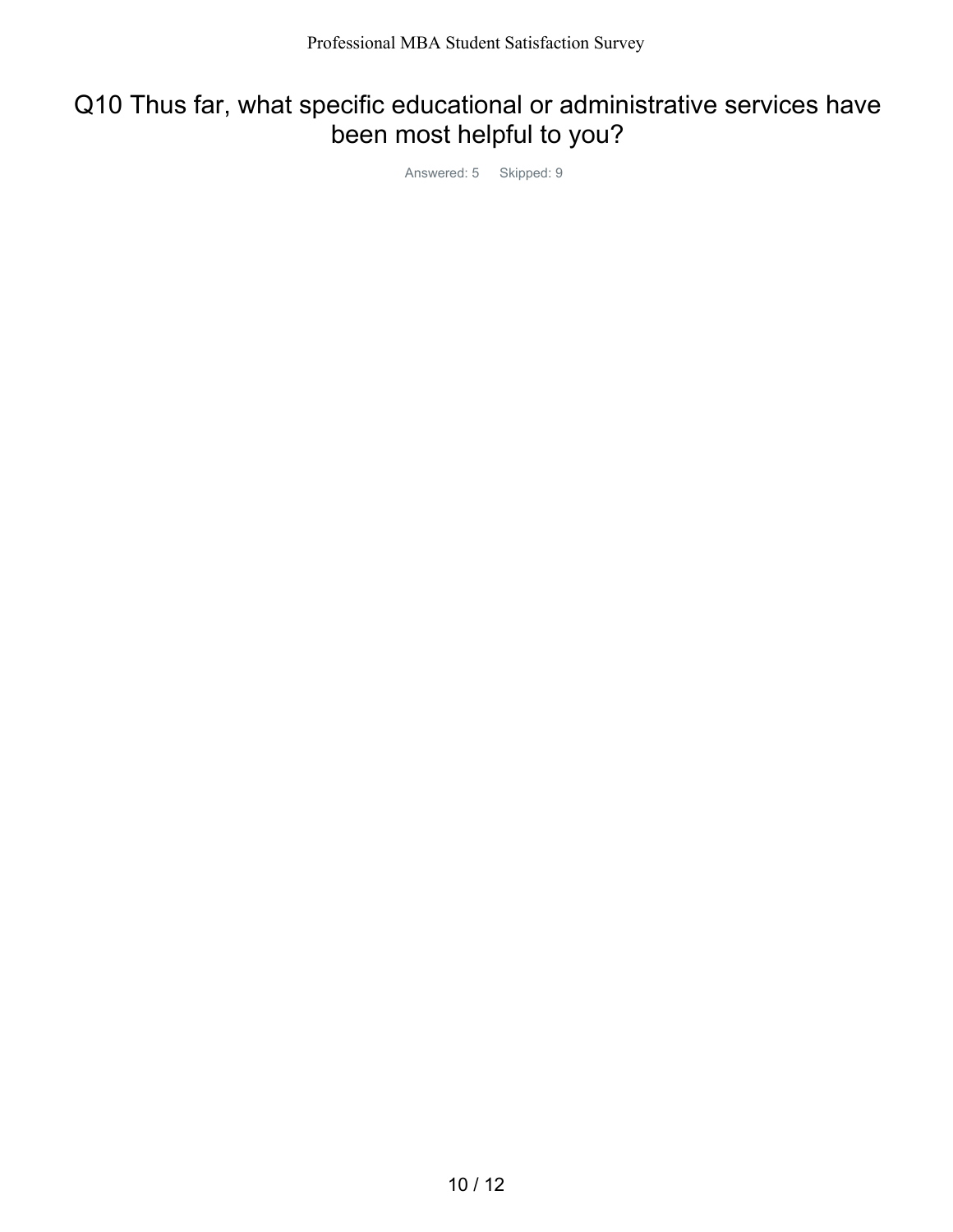## Q10 Thus far, what specific educational or administrative services have been most helpful to you?

Answered: 5 Skipped: 9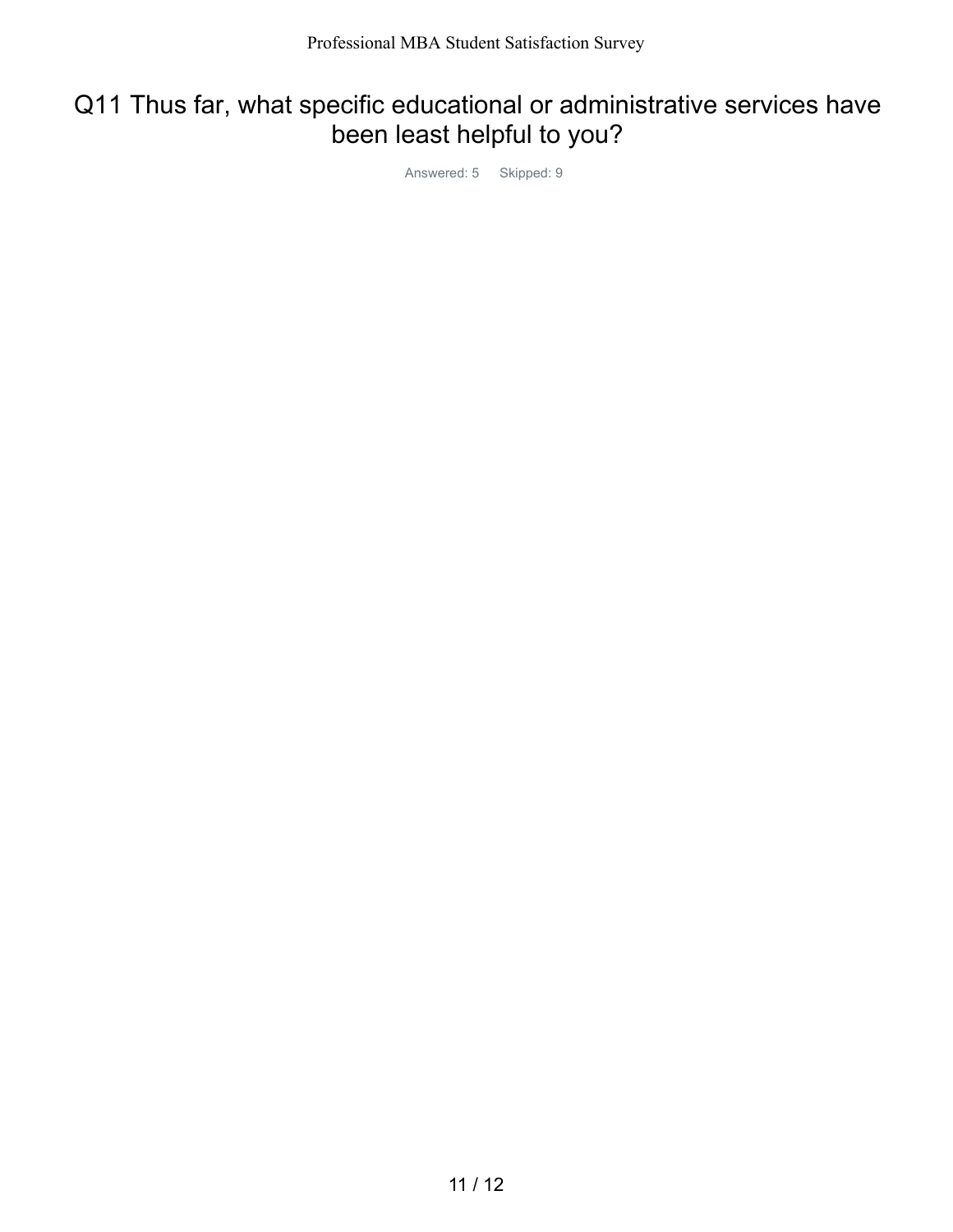## Q11 Thus far, what specific educational or administrative services have been least helpful to you?

Answered: 5 Skipped: 9